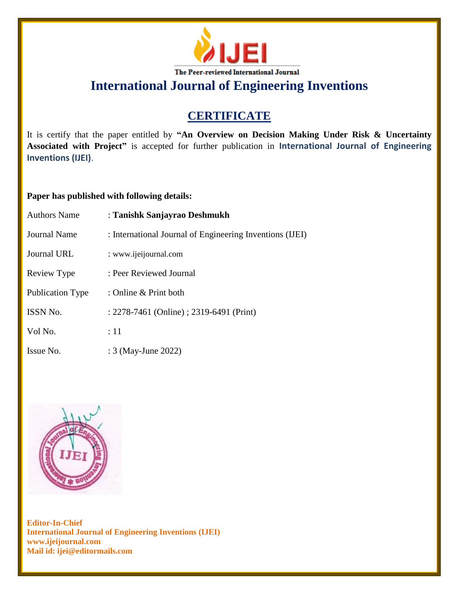

**International Journal of Engineering Inventions**

## **CERTIFICATE**

It is certify that the paper entitled by **"An Overview on Decision Making Under Risk & Uncertainty Associated with Project"** is accepted for further publication in **International Journal of Engineering Inventions (IJEI)**.

## **Paper has published with following details:**

| <b>Authors Name</b> | : Tanishk Sanjayrao Deshmukh                             |
|---------------------|----------------------------------------------------------|
| Journal Name        | : International Journal of Engineering Inventions (IJEI) |
| Journal URL         | : www.ijeijournal.com                                    |
| Review Type         | : Peer Reviewed Journal                                  |
| Publication Type    | : Online $&$ Print both                                  |
| <b>ISSN No.</b>     | : 2278-7461 (Online) ; 2319-6491 (Print)                 |
| Vol No.             | $\div 11$                                                |
| Issue No.           | : 3 (May-June 2022)                                      |



**Editor-In-Chief International Journal of Engineering Inventions (IJEI) www.ijeijournal.com Mail id: ijei@editormails.com**